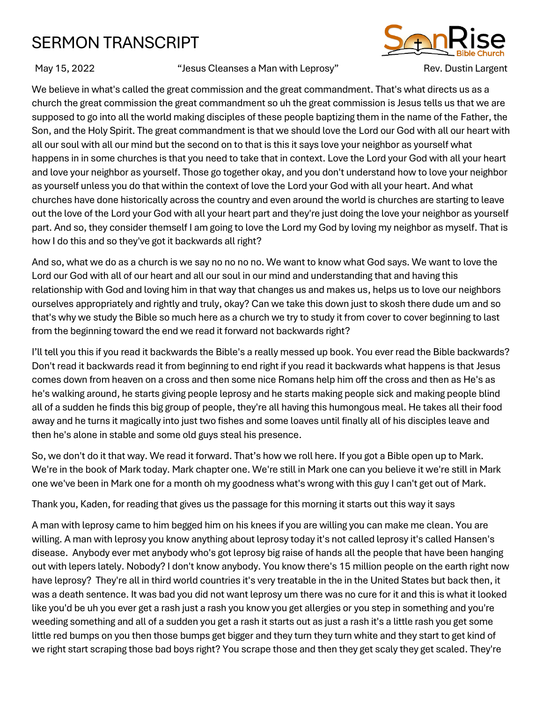## SERMON TRANSCRIPT



May 15, 2022 **The Cleanses a Man with Leprosy** "Sev. Dustin Largent" Rev. Dustin Largent

We believe in what's called the great commission and the great commandment. That's what directs us as a church the great commission the great commandment so uh the great commission is Jesus tells us that we are supposed to go into all the world making disciples of these people baptizing them in the name of the Father, the Son, and the Holy Spirit. The great commandment is that we should love the Lord our God with all our heart with all our soul with all our mind but the second on to that is this it says love your neighbor as yourself what happens in in some churches is that you need to take that in context. Love the Lord your God with all your heart and love your neighbor as yourself. Those go together okay, and you don't understand how to love your neighbor as yourself unless you do that within the context of love the Lord your God with all your heart. And what churches have done historically across the country and even around the world is churches are starting to leave out the love of the Lord your God with all your heart part and they're just doing the love your neighbor as yourself part. And so, they consider themself I am going to love the Lord my God by loving my neighbor as myself. That is how I do this and so they've got it backwards all right?

And so, what we do as a church is we say no no no no. We want to know what God says. We want to love the Lord our God with all of our heart and all our soul in our mind and understanding that and having this relationship with God and loving him in that way that changes us and makes us, helps us to love our neighbors ourselves appropriately and rightly and truly, okay? Can we take this down just to skosh there dude um and so that's why we study the Bible so much here as a church we try to study it from cover to cover beginning to last from the beginning toward the end we read it forward not backwards right?

I'll tell you this if you read it backwards the Bible's a really messed up book. You ever read the Bible backwards? Don't read it backwards read it from beginning to end right if you read it backwards what happens is that Jesus comes down from heaven on a cross and then some nice Romans help him off the cross and then as He's as he's walking around, he starts giving people leprosy and he starts making people sick and making people blind all of a sudden he finds this big group of people, they're all having this humongous meal. He takes all their food away and he turns it magically into just two fishes and some loaves until finally all of his disciples leave and then he's alone in stable and some old guys steal his presence.

So, we don't do it that way. We read it forward. That's how we roll here. If you got a Bible open up to Mark. We're in the book of Mark today. Mark chapter one. We're still in Mark one can you believe it we're still in Mark one we've been in Mark one for a month oh my goodness what's wrong with this guy I can't get out of Mark.

Thank you, Kaden, for reading that gives us the passage for this morning it starts out this way it says

A man with leprosy came to him begged him on his knees if you are willing you can make me clean. You are willing. A man with leprosy you know anything about leprosy today it's not called leprosy it's called Hansen's disease. Anybody ever met anybody who's got leprosy big raise of hands all the people that have been hanging out with lepers lately. Nobody? I don't know anybody. You know there's 15 million people on the earth right now have leprosy? They're all in third world countries it's very treatable in the in the United States but back then, it was a death sentence. It was bad you did not want leprosy um there was no cure for it and this is what it looked like you'd be uh you ever get a rash just a rash you know you get allergies or you step in something and you're weeding something and all of a sudden you get a rash it starts out as just a rash it's a little rash you get some little red bumps on you then those bumps get bigger and they turn they turn white and they start to get kind of we right start scraping those bad boys right? You scrape those and then they get scaly they get scaled. They're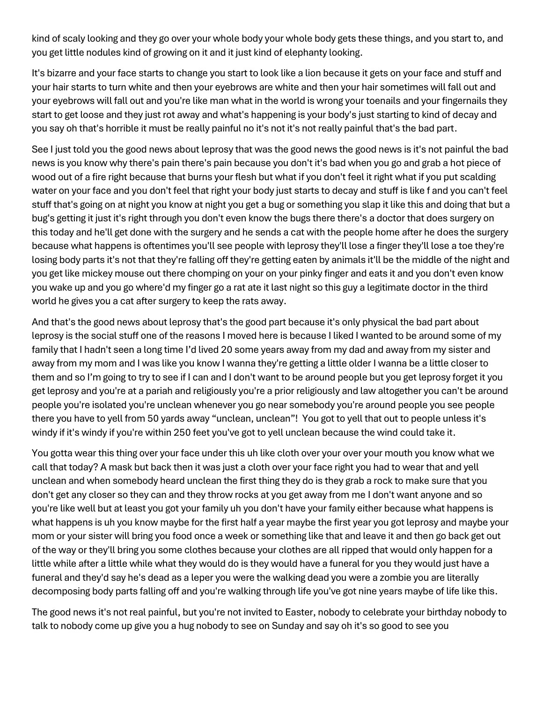kind of scaly looking and they go over your whole body your whole body gets these things, and you start to, and you get little nodules kind of growing on it and it just kind of elephanty looking.

It's bizarre and your face starts to change you start to look like a lion because it gets on your face and stuff and your hair starts to turn white and then your eyebrows are white and then your hair sometimes will fall out and your eyebrows will fall out and you're like man what in the world is wrong your toenails and your fingernails they start to get loose and they just rot away and what's happening is your body's just starting to kind of decay and you say oh that's horrible it must be really painful no it's not it's not really painful that's the bad part.

See I just told you the good news about leprosy that was the good news the good news is it's not painful the bad news is you know why there's pain there's pain because you don't it's bad when you go and grab a hot piece of wood out of a fire right because that burns your flesh but what if you don't feel it right what if you put scalding water on your face and you don't feel that right your body just starts to decay and stuff is like f and you can't feel stuff that's going on at night you know at night you get a bug or something you slap it like this and doing that but a bug's getting it just it's right through you don't even know the bugs there there's a doctor that does surgery on this today and he'll get done with the surgery and he sends a cat with the people home after he does the surgery because what happens is oftentimes you'll see people with leprosy they'll lose a finger they'll lose a toe they're losing body parts it's not that they're falling off they're getting eaten by animals it'll be the middle of the night and you get like mickey mouse out there chomping on your on your pinky finger and eats it and you don't even know you wake up and you go where'd my finger go a rat ate it last night so this guy a legitimate doctor in the third world he gives you a cat after surgery to keep the rats away.

And that's the good news about leprosy that's the good part because it's only physical the bad part about leprosy is the social stuff one of the reasons I moved here is because I liked I wanted to be around some of my family that I hadn't seen a long time I'd lived 20 some years away from my dad and away from my sister and away from my mom and I was like you know I wanna they're getting a little older I wanna be a little closer to them and so I'm going to try to see if I can and I don't want to be around people but you get leprosy forget it you get leprosy and you're at a pariah and religiously you're a prior religiously and law altogether you can't be around people you're isolated you're unclean whenever you go near somebody you're around people you see people there you have to yell from 50 yards away "unclean, unclean"! You got to yell that out to people unless it's windy if it's windy if you're within 250 feet you've got to yell unclean because the wind could take it.

You gotta wear this thing over your face under this uh like cloth over your over your mouth you know what we call that today? A mask but back then it was just a cloth over your face right you had to wear that and yell unclean and when somebody heard unclean the first thing they do is they grab a rock to make sure that you don't get any closer so they can and they throw rocks at you get away from me I don't want anyone and so you're like well but at least you got your family uh you don't have your family either because what happens is what happens is uh you know maybe for the first half a year maybe the first year you got leprosy and maybe your mom or your sister will bring you food once a week or something like that and leave it and then go back get out of the way or they'll bring you some clothes because your clothes are all ripped that would only happen for a little while after a little while what they would do is they would have a funeral for you they would just have a funeral and they'd say he's dead as a leper you were the walking dead you were a zombie you are literally decomposing body parts falling off and you're walking through life you've got nine years maybe of life like this.

The good news it's not real painful, but you're not invited to Easter, nobody to celebrate your birthday nobody to talk to nobody come up give you a hug nobody to see on Sunday and say oh it's so good to see you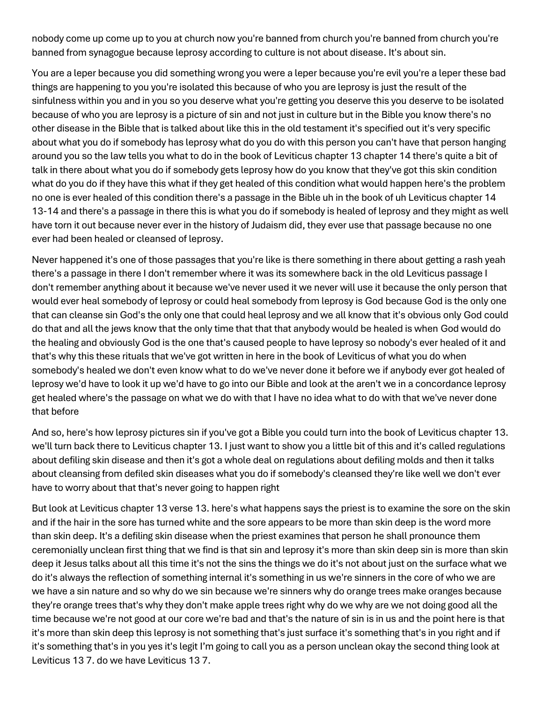nobody come up come up to you at church now you're banned from church you're banned from church you're banned from synagogue because leprosy according to culture is not about disease. It's about sin.

You are a leper because you did something wrong you were a leper because you're evil you're a leper these bad things are happening to you you're isolated this because of who you are leprosy is just the result of the sinfulness within you and in you so you deserve what you're getting you deserve this you deserve to be isolated because of who you are leprosy is a picture of sin and not just in culture but in the Bible you know there's no other disease in the Bible that is talked about like this in the old testament it's specified out it's very specific about what you do if somebody has leprosy what do you do with this person you can't have that person hanging around you so the law tells you what to do in the book of Leviticus chapter 13 chapter 14 there's quite a bit of talk in there about what you do if somebody gets leprosy how do you know that they've got this skin condition what do you do if they have this what if they get healed of this condition what would happen here's the problem no one is ever healed of this condition there's a passage in the Bible uh in the book of uh Leviticus chapter 14 13-14 and there's a passage in there this is what you do if somebody is healed of leprosy and they might as well have torn it out because never ever in the history of Judaism did, they ever use that passage because no one ever had been healed or cleansed of leprosy.

Never happened it's one of those passages that you're like is there something in there about getting a rash yeah there's a passage in there I don't remember where it was its somewhere back in the old Leviticus passage I don't remember anything about it because we've never used it we never will use it because the only person that would ever heal somebody of leprosy or could heal somebody from leprosy is God because God is the only one that can cleanse sin God's the only one that could heal leprosy and we all know that it's obvious only God could do that and all the jews know that the only time that that that anybody would be healed is when God would do the healing and obviously God is the one that's caused people to have leprosy so nobody's ever healed of it and that's why this these rituals that we've got written in here in the book of Leviticus of what you do when somebody's healed we don't even know what to do we've never done it before we if anybody ever got healed of leprosy we'd have to look it up we'd have to go into our Bible and look at the aren't we in a concordance leprosy get healed where's the passage on what we do with that I have no idea what to do with that we've never done that before

And so, here's how leprosy pictures sin if you've got a Bible you could turn into the book of Leviticus chapter 13. we'll turn back there to Leviticus chapter 13. I just want to show you a little bit of this and it's called regulations about defiling skin disease and then it's got a whole deal on regulations about defiling molds and then it talks about cleansing from defiled skin diseases what you do if somebody's cleansed they're like well we don't ever have to worry about that that's never going to happen right

But look at Leviticus chapter 13 verse 13. here's what happens says the priest is to examine the sore on the skin and if the hair in the sore has turned white and the sore appears to be more than skin deep is the word more than skin deep. It's a defiling skin disease when the priest examines that person he shall pronounce them ceremonially unclean first thing that we find is that sin and leprosy it's more than skin deep sin is more than skin deep it Jesus talks about all this time it's not the sins the things we do it's not about just on the surface what we do it's always the reflection of something internal it's something in us we're sinners in the core of who we are we have a sin nature and so why do we sin because we're sinners why do orange trees make oranges because they're orange trees that's why they don't make apple trees right why do we why are we not doing good all the time because we're not good at our core we're bad and that's the nature of sin is in us and the point here is that it's more than skin deep this leprosy is not something that's just surface it's something that's in you right and if it's something that's in you yes it's legit I'm going to call you as a person unclean okay the second thing look at Leviticus 13 7. do we have Leviticus 13 7.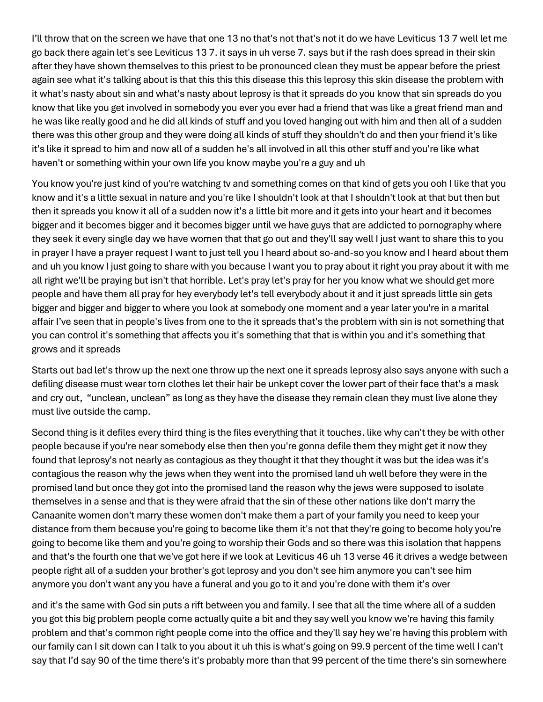I'll throw that on the screen we have that one 13 no that's not that's not it do we have Leviticus 13 7 well let me go back there again let's see Leviticus 13 7. it says in uh verse 7. says but if the rash does spread in their skin after they have shown themselves to this priest to be pronounced clean they must be appear before the priest again see what it's talking about is that this this this disease this this leprosy this skin disease the problem with it what's nasty about sin and what's nasty about leprosy is that it spreads do you know that sin spreads do you know that like you get involved in somebody you ever you ever had a friend that was like a great friend man and he was like really good and he did all kinds of stuff and you loved hanging out with him and then all of a sudden there was this other group and they were doing all kinds of stuff they shouldn't do and then your friend it's like it's like it spread to him and now all of a sudden he's all involved in all this other stuff and you're like what haven't or something within your own life you know maybe you're a guy and uh

You know you're just kind of you're watching tv and something comes on that kind of gets you ooh I like that you know and it's a little sexual in nature and you're like I shouldn't look at that I shouldn't look at that but then but then it spreads you know it all of a sudden now it's a little bit more and it gets into your heart and it becomes bigger and it becomes bigger and it becomes bigger until we have guys that are addicted to pornography where they seek it every single day we have women that that go out and they'll say well I just want to share this to you in prayer I have a prayer request I want to just tell you I heard about so-and-so you know and I heard about them and uh you know I just going to share with you because I want you to pray about it right you pray about it with me all right we'll be praying but isn't that horrible. Let's pray let's pray for her you know what we should get more people and have them all pray for hey everybody let's tell everybody about it and it just spreads little sin gets bigger and bigger and bigger to where you look at somebody one moment and a year later you're in a marital affair I've seen that in people's lives from one to the it spreads that's the problem with sin is not something that you can control it's something that affects you it's something that that is within you and it's something that grows and it spreads

Starts out bad let's throw up the next one throw up the next one it spreads leprosy also says anyone with such a defiling disease must wear torn clothes let their hair be unkept cover the lower part of their face that's a mask and cry out, "unclean, unclean" as long as they have the disease they remain clean they must live alone they must live outside the camp.

Second thing is it defiles every third thing is the files everything that it touches. like why can't they be with other people because if you're near somebody else then then you're gonna defile them they might get it now they found that leprosy's not nearly as contagious as they thought it that they thought it was but the idea was it's contagious the reason why the jews when they went into the promised land uh well before they were in the promised land but once they got into the promised land the reason why the jews were supposed to isolate themselves in a sense and that is they were afraid that the sin of these other nations like don't marry the Canaanite women don't marry these women don't make them a part of your family you need to keep your distance from them because you're going to become like them it's not that they're going to become holy you're going to become like them and you're going to worship their Gods and so there was this isolation that happens and that's the fourth one that we've got here if we look at Leviticus 46 uh 13 verse 46 it drives a wedge between people right all of a sudden your brother's got leprosy and you don't see him anymore you can't see him anymore you don't want any you have a funeral and you go to it and you're done with them it's over

and it's the same with God sin puts a rift between you and family. I see that all the time where all of a sudden you got this big problem people come actually quite a bit and they say well you know we're having this family problem and that's common right people come into the office and they'll say hey we're having this problem with our family can I sit down can I talk to you about it uh this is what's going on 99.9 percent of the time well I can't say that I'd say 90 of the time there's it's probably more than that 99 percent of the time there's sin somewhere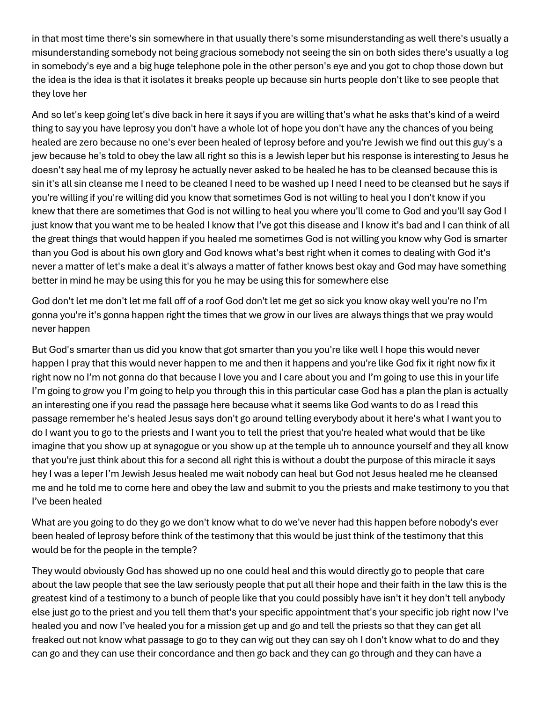in that most time there's sin somewhere in that usually there's some misunderstanding as well there's usually a misunderstanding somebody not being gracious somebody not seeing the sin on both sides there's usually a log in somebody's eye and a big huge telephone pole in the other person's eye and you got to chop those down but the idea is the idea is that it isolates it breaks people up because sin hurts people don't like to see people that they love her

And so let's keep going let's dive back in here it says if you are willing that's what he asks that's kind of a weird thing to say you have leprosy you don't have a whole lot of hope you don't have any the chances of you being healed are zero because no one's ever been healed of leprosy before and you're Jewish we find out this guy's a jew because he's told to obey the law all right so this is a Jewish leper but his response is interesting to Jesus he doesn't say heal me of my leprosy he actually never asked to be healed he has to be cleansed because this is sin it's all sin cleanse me I need to be cleaned I need to be washed up I need I need to be cleansed but he says if you're willing if you're willing did you know that sometimes God is not willing to heal you I don't know if you knew that there are sometimes that God is not willing to heal you where you'll come to God and you'll say God I just know that you want me to be healed I know that I've got this disease and I know it's bad and I can think of all the great things that would happen if you healed me sometimes God is not willing you know why God is smarter than you God is about his own glory and God knows what's best right when it comes to dealing with God it's never a matter of let's make a deal it's always a matter of father knows best okay and God may have something better in mind he may be using this for you he may be using this for somewhere else

God don't let me don't let me fall off of a roof God don't let me get so sick you know okay well you're no I'm gonna you're it's gonna happen right the times that we grow in our lives are always things that we pray would never happen

But God's smarter than us did you know that got smarter than you you're like well I hope this would never happen I pray that this would never happen to me and then it happens and you're like God fix it right now fix it right now no I'm not gonna do that because I love you and I care about you and I'm going to use this in your life I'm going to grow you I'm going to help you through this in this particular case God has a plan the plan is actually an interesting one if you read the passage here because what it seems like God wants to do as I read this passage remember he's healed Jesus says don't go around telling everybody about it here's what I want you to do I want you to go to the priests and I want you to tell the priest that you're healed what would that be like imagine that you show up at synagogue or you show up at the temple uh to announce yourself and they all know that you're just think about this for a second all right this is without a doubt the purpose of this miracle it says hey I was a leper I'm Jewish Jesus healed me wait nobody can heal but God not Jesus healed me he cleansed me and he told me to come here and obey the law and submit to you the priests and make testimony to you that I've been healed

What are you going to do they go we don't know what to do we've never had this happen before nobody's ever been healed of leprosy before think of the testimony that this would be just think of the testimony that this would be for the people in the temple?

They would obviously God has showed up no one could heal and this would directly go to people that care about the law people that see the law seriously people that put all their hope and their faith in the law this is the greatest kind of a testimony to a bunch of people like that you could possibly have isn't it hey don't tell anybody else just go to the priest and you tell them that's your specific appointment that's your specific job right now I've healed you and now I've healed you for a mission get up and go and tell the priests so that they can get all freaked out not know what passage to go to they can wig out they can say oh I don't know what to do and they can go and they can use their concordance and then go back and they can go through and they can have a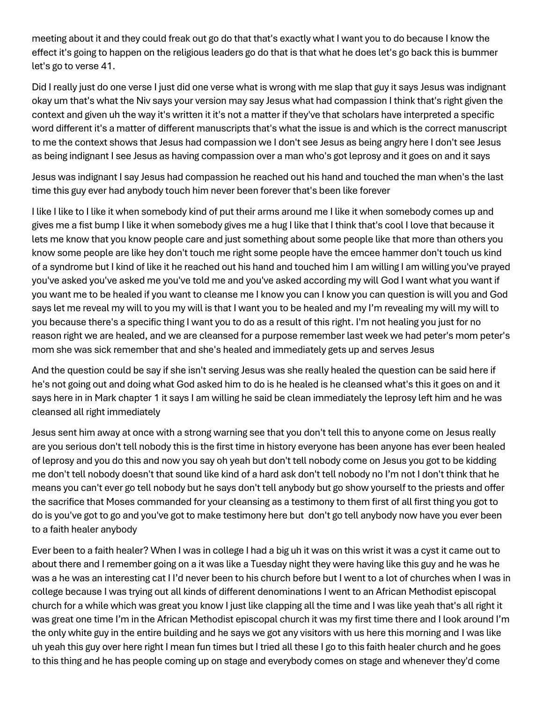meeting about it and they could freak out go do that that's exactly what I want you to do because I know the effect it's going to happen on the religious leaders go do that is that what he does let's go back this is bummer let's go to verse 41.

Did I really just do one verse I just did one verse what is wrong with me slap that guy it says Jesus was indignant okay um that's what the Niv says your version may say Jesus what had compassion I think that's right given the context and given uh the way it's written it it's not a matter if they've that scholars have interpreted a specific word different it's a matter of different manuscripts that's what the issue is and which is the correct manuscript to me the context shows that Jesus had compassion we I don't see Jesus as being angry here I don't see Jesus as being indignant I see Jesus as having compassion over a man who's got leprosy and it goes on and it says

Jesus was indignant I say Jesus had compassion he reached out his hand and touched the man when's the last time this guy ever had anybody touch him never been forever that's been like forever

I like I like to I like it when somebody kind of put their arms around me I like it when somebody comes up and gives me a fist bump I like it when somebody gives me a hug I like that I think that's cool I love that because it lets me know that you know people care and just something about some people like that more than others you know some people are like hey don't touch me right some people have the emcee hammer don't touch us kind of a syndrome but I kind of like it he reached out his hand and touched him I am willing I am willing you've prayed you've asked you've asked me you've told me and you've asked according my will God I want what you want if you want me to be healed if you want to cleanse me I know you can I know you can question is will you and God says let me reveal my will to you my will is that I want you to be healed and my I'm revealing my will my will to you because there's a specific thing I want you to do as a result of this right. I'm not healing you just for no reason right we are healed, and we are cleansed for a purpose remember last week we had peter's mom peter's mom she was sick remember that and she's healed and immediately gets up and serves Jesus

And the question could be say if she isn't serving Jesus was she really healed the question can be said here if he's not going out and doing what God asked him to do is he healed is he cleansed what's this it goes on and it says here in in Mark chapter 1 it says I am willing he said be clean immediately the leprosy left him and he was cleansed all right immediately

Jesus sent him away at once with a strong warning see that you don't tell this to anyone come on Jesus really are you serious don't tell nobody this is the first time in history everyone has been anyone has ever been healed of leprosy and you do this and now you say oh yeah but don't tell nobody come on Jesus you got to be kidding me don't tell nobody doesn't that sound like kind of a hard ask don't tell nobody no I'm not I don't think that he means you can't ever go tell nobody but he says don't tell anybody but go show yourself to the priests and offer the sacrifice that Moses commanded for your cleansing as a testimony to them first of all first thing you got to do is you've got to go and you've got to make testimony here but don't go tell anybody now have you ever been to a faith healer anybody

Ever been to a faith healer? When I was in college I had a big uh it was on this wrist it was a cyst it came out to about there and I remember going on a it was like a Tuesday night they were having like this guy and he was he was a he was an interesting cat I I'd never been to his church before but I went to a lot of churches when I was in college because I was trying out all kinds of different denominations I went to an African Methodist episcopal church for a while which was great you know I just like clapping all the time and I was like yeah that's all right it was great one time I'm in the African Methodist episcopal church it was my first time there and I look around I'm the only white guy in the entire building and he says we got any visitors with us here this morning and I was like uh yeah this guy over here right I mean fun times but I tried all these I go to this faith healer church and he goes to this thing and he has people coming up on stage and everybody comes on stage and whenever they'd come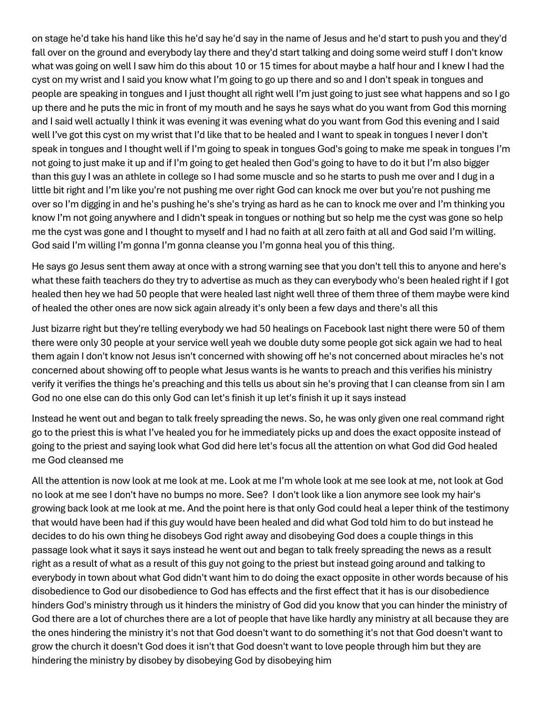on stage he'd take his hand like this he'd say he'd say in the name of Jesus and he'd start to push you and they'd fall over on the ground and everybody lay there and they'd start talking and doing some weird stuff I don't know what was going on well I saw him do this about 10 or 15 times for about maybe a half hour and I knew I had the cyst on my wrist and I said you know what I'm going to go up there and so and I don't speak in tongues and people are speaking in tongues and I just thought all right well I'm just going to just see what happens and so I go up there and he puts the mic in front of my mouth and he says he says what do you want from God this morning and I said well actually I think it was evening it was evening what do you want from God this evening and I said well I've got this cyst on my wrist that I'd like that to be healed and I want to speak in tongues I never I don't speak in tongues and I thought well if I'm going to speak in tongues God's going to make me speak in tongues I'm not going to just make it up and if I'm going to get healed then God's going to have to do it but I'm also bigger than this guy I was an athlete in college so I had some muscle and so he starts to push me over and I dug in a little bit right and I'm like you're not pushing me over right God can knock me over but you're not pushing me over so I'm digging in and he's pushing he's she's trying as hard as he can to knock me over and I'm thinking you know I'm not going anywhere and I didn't speak in tongues or nothing but so help me the cyst was gone so help me the cyst was gone and I thought to myself and I had no faith at all zero faith at all and God said I'm willing. God said I'm willing I'm gonna I'm gonna cleanse you I'm gonna heal you of this thing.

He says go Jesus sent them away at once with a strong warning see that you don't tell this to anyone and here's what these faith teachers do they try to advertise as much as they can everybody who's been healed right if I got healed then hey we had 50 people that were healed last night well three of them three of them maybe were kind of healed the other ones are now sick again already it's only been a few days and there's all this

Just bizarre right but they're telling everybody we had 50 healings on Facebook last night there were 50 of them there were only 30 people at your service well yeah we double duty some people got sick again we had to heal them again I don't know not Jesus isn't concerned with showing off he's not concerned about miracles he's not concerned about showing off to people what Jesus wants is he wants to preach and this verifies his ministry verify it verifies the things he's preaching and this tells us about sin he's proving that I can cleanse from sin I am God no one else can do this only God can let's finish it up let's finish it up it says instead

Instead he went out and began to talk freely spreading the news. So, he was only given one real command right go to the priest this is what I've healed you for he immediately picks up and does the exact opposite instead of going to the priest and saying look what God did here let's focus all the attention on what God did God healed me God cleansed me

All the attention is now look at me look at me. Look at me I'm whole look at me see look at me, not look at God no look at me see I don't have no bumps no more. See? I don't look like a lion anymore see look my hair's growing back look at me look at me. And the point here is that only God could heal a leper think of the testimony that would have been had if this guy would have been healed and did what God told him to do but instead he decides to do his own thing he disobeys God right away and disobeying God does a couple things in this passage look what it says it says instead he went out and began to talk freely spreading the news as a result right as a result of what as a result of this guy not going to the priest but instead going around and talking to everybody in town about what God didn't want him to do doing the exact opposite in other words because of his disobedience to God our disobedience to God has effects and the first effect that it has is our disobedience hinders God's ministry through us it hinders the ministry of God did you know that you can hinder the ministry of God there are a lot of churches there are a lot of people that have like hardly any ministry at all because they are the ones hindering the ministry it's not that God doesn't want to do something it's not that God doesn't want to grow the church it doesn't God does it isn't that God doesn't want to love people through him but they are hindering the ministry by disobey by disobeying God by disobeying him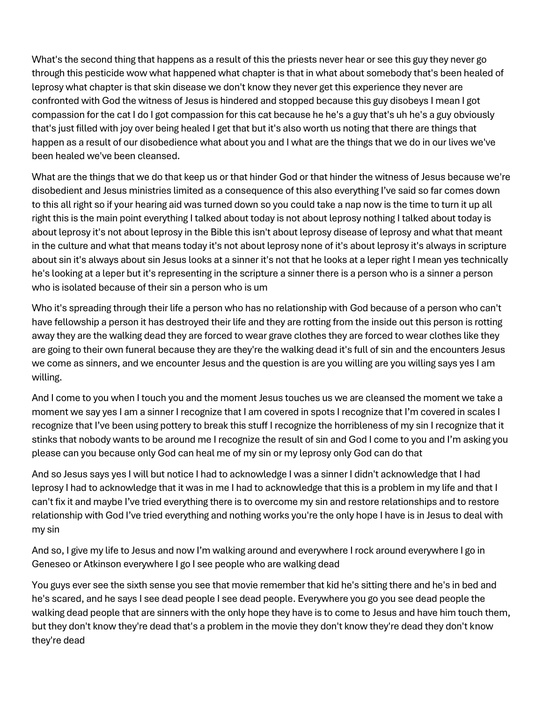What's the second thing that happens as a result of this the priests never hear or see this guy they never go through this pesticide wow what happened what chapter is that in what about somebody that's been healed of leprosy what chapter is that skin disease we don't know they never get this experience they never are confronted with God the witness of Jesus is hindered and stopped because this guy disobeys I mean I got compassion for the cat I do I got compassion for this cat because he he's a guy that's uh he's a guy obviously that's just filled with joy over being healed I get that but it's also worth us noting that there are things that happen as a result of our disobedience what about you and I what are the things that we do in our lives we've been healed we've been cleansed.

What are the things that we do that keep us or that hinder God or that hinder the witness of Jesus because we're disobedient and Jesus ministries limited as a consequence of this also everything I've said so far comes down to this all right so if your hearing aid was turned down so you could take a nap now is the time to turn it up all right this is the main point everything I talked about today is not about leprosy nothing I talked about today is about leprosy it's not about leprosy in the Bible this isn't about leprosy disease of leprosy and what that meant in the culture and what that means today it's not about leprosy none of it's about leprosy it's always in scripture about sin it's always about sin Jesus looks at a sinner it's not that he looks at a leper right I mean yes technically he's looking at a leper but it's representing in the scripture a sinner there is a person who is a sinner a person who is isolated because of their sin a person who is um

Who it's spreading through their life a person who has no relationship with God because of a person who can't have fellowship a person it has destroyed their life and they are rotting from the inside out this person is rotting away they are the walking dead they are forced to wear grave clothes they are forced to wear clothes like they are going to their own funeral because they are they're the walking dead it's full of sin and the encounters Jesus we come as sinners, and we encounter Jesus and the question is are you willing are you willing says yes I am willing.

And I come to you when I touch you and the moment Jesus touches us we are cleansed the moment we take a moment we say yes I am a sinner I recognize that I am covered in spots I recognize that I'm covered in scales I recognize that I've been using pottery to break this stuff I recognize the horribleness of my sin I recognize that it stinks that nobody wants to be around me I recognize the result of sin and God I come to you and I'm asking you please can you because only God can heal me of my sin or my leprosy only God can do that

And so Jesus says yes I will but notice I had to acknowledge I was a sinner I didn't acknowledge that I had leprosy I had to acknowledge that it was in me I had to acknowledge that this is a problem in my life and that I can't fix it and maybe I've tried everything there is to overcome my sin and restore relationships and to restore relationship with God I've tried everything and nothing works you're the only hope I have is in Jesus to deal with my sin

And so, I give my life to Jesus and now I'm walking around and everywhere I rock around everywhere I go in Geneseo or Atkinson everywhere I go I see people who are walking dead

You guys ever see the sixth sense you see that movie remember that kid he's sitting there and he's in bed and he's scared, and he says I see dead people I see dead people. Everywhere you go you see dead people the walking dead people that are sinners with the only hope they have is to come to Jesus and have him touch them, but they don't know they're dead that's a problem in the movie they don't know they're dead they don't know they're dead